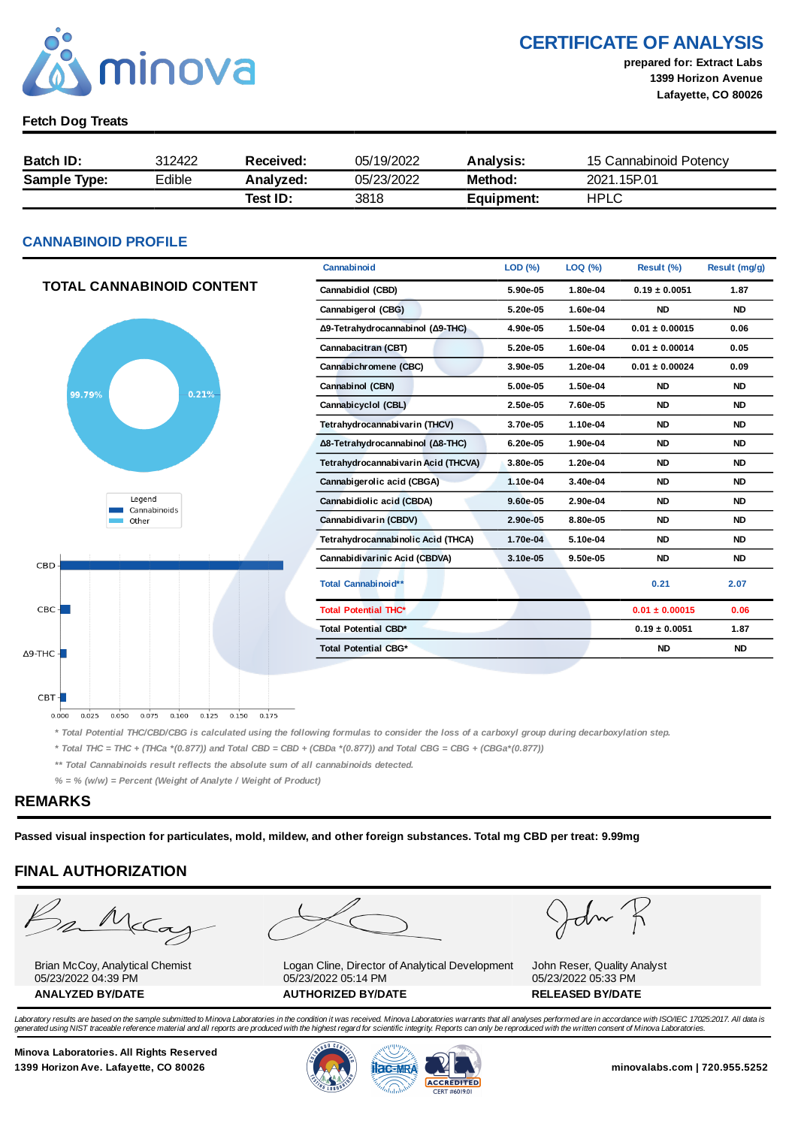

# CERTIFICATE OF ANALYSIS

prepared for: Extract Labs 1399 Horizon Avenue Lafayette, CO 80026

#### Fetch Dog Treats

| <b>Batch ID:</b>    | 312422 | Received: | 05/19/2022 | <b>Analysis:</b> | 15 Cannabinoid Potency |  |
|---------------------|--------|-----------|------------|------------------|------------------------|--|
| <b>Sample Type:</b> | Edible | Analyzed: | 05/23/2022 | Method:          | 2021.15P.01            |  |
|                     |        | Test ID:  | 3818       | Equipment:       | HPLC                   |  |

#### CANNABINOID PROFILE

|                                  | Cannabinoid                         | LOD (%)  | LOQ (%)  | Result (%)         | Result (mg/g) |
|----------------------------------|-------------------------------------|----------|----------|--------------------|---------------|
| <b>TOTAL CANNABINOID CONTENT</b> | Cannabidiol (CBD)                   | 5.90e-05 | 1.80e-04 | $0.19 \pm 0.0051$  | 1.87          |
|                                  | Cannabigerol (CBG)                  | 5.20e-05 | 1.60e-04 | <b>ND</b>          | <b>ND</b>     |
|                                  | Δ9-Tetrahydrocannabinol (Δ9-THC)    | 4.90e-05 | 1.50e-04 | $0.01 \pm 0.00015$ | 0.06          |
|                                  | Cannabacitran (CBT)                 | 5.20e-05 | 1.60e-04 | $0.01 \pm 0.00014$ | 0.05          |
|                                  | Cannabichromene (CBC)               | 3.90e-05 | 1.20e-04 | $0.01 \pm 0.00024$ | 0.09          |
| 0.21%<br>99.79%                  | Cannabinol (CBN)                    | 5.00e-05 | 1.50e-04 | <b>ND</b>          | <b>ND</b>     |
|                                  | Cannabicyclol (CBL)                 | 2.50e-05 | 7.60e-05 | <b>ND</b>          | <b>ND</b>     |
|                                  | Tetrahydrocannabivarin (THCV)       | 3.70e-05 | 1.10e-04 | <b>ND</b>          | <b>ND</b>     |
|                                  | Δ8-Tetrahydrocannabinol (Δ8-THC)    | 6.20e-05 | 1.90e-04 | <b>ND</b>          | <b>ND</b>     |
|                                  | Tetrahydrocannabivarin Acid (THCVA) | 3.80e-05 | 1.20e-04 | <b>ND</b>          | <b>ND</b>     |
|                                  | Cannabigerolic acid (CBGA)          | 1.10e-04 | 3.40e-04 | <b>ND</b>          | <b>ND</b>     |
| Legend<br>Cannabinoids           | Cannabidiolic acid (CBDA)           | 9.60e-05 | 2.90e-04 | <b>ND</b>          | <b>ND</b>     |
| Other                            | Cannabidivarin (CBDV)               | 2.90e-05 | 8.80e-05 | <b>ND</b>          | <b>ND</b>     |
|                                  | Tetrahydrocannabinolic Acid (THCA)  | 1.70e-04 | 5.10e-04 | <b>ND</b>          | <b>ND</b>     |
| <b>CBD</b>                       | Cannabidivarinic Acid (CBDVA)       | 3.10e-05 | 9.50e-05 | <b>ND</b>          | <b>ND</b>     |
|                                  | Total Cannabinoid**                 |          |          | 0.21               | 2.07          |
| $CBC +$                          | <b>Total Potential THC*</b>         |          |          | $0.01 \pm 0.00015$ | 0.06          |
|                                  | <b>Total Potential CBD*</b>         |          |          | $0.19 \pm 0.0051$  | 1.87          |
| $\Delta$ 9-THC - $\blacksquare$  | <b>Total Potential CBG*</b>         |          |          | <b>ND</b>          | <b>ND</b>     |
|                                  |                                     |          |          |                    |               |

0.025 0.050 0.075 0.100 0.125 0.150 0.175  $0.000$ 

\* Total Potential THC/CBD/CBG is calculated using the following formulas to consider the loss of a carboxyl group during decarboxylation step.

\* Total THC = THC + (THCa \*(0.877)) and Total CBD = CBD + (CBDa \*(0.877)) and Total CBG = CBG + (CBGa\*(0.877))

\*\* Total Cannabinoids result reflects the absolute sum of all cannabinoids detected.

 $% =$  % (w/w) = Percent (Weight of Analyte / Weight of Product)

#### REMARKS

 $CBT -$ 

Passed visual inspection for particulates, mold, mildew, and other foreign substances. Total mg CBD per treat: 9.99mg

# FINAL AUTHORIZATION



Brian McCoy, Analytical Chemist 05/23/2022 04:39 PM



Logan Cline, Director of Analytical Development 05/23/2022 05:14 PM ANALYZED BY/DATE AUTHORIZED BY/DATE RELEASED BY/DATE



John Reser, Quality Analyst 05/23/2022 05:33 PM

Laboratory results are based on the sample submitted to Minova Laboratories in the condition it was received. Minova Laboratories warrants that all analyses performed are in accordance with ISO/IEC 17025:2017. All data is generated using NIST traceable reference material and all reports are produced with the highest regard for scientific integrity. Reports can only be reproduced with the written consent of Minova Laboratories.

Minova Laboratories. All Rights Reserved 1399 Horizon Ave. Lafayette, CO 80026 **1300 Minovalabs.com | 720.955.5252** minovalabs.com | 720.955.5252



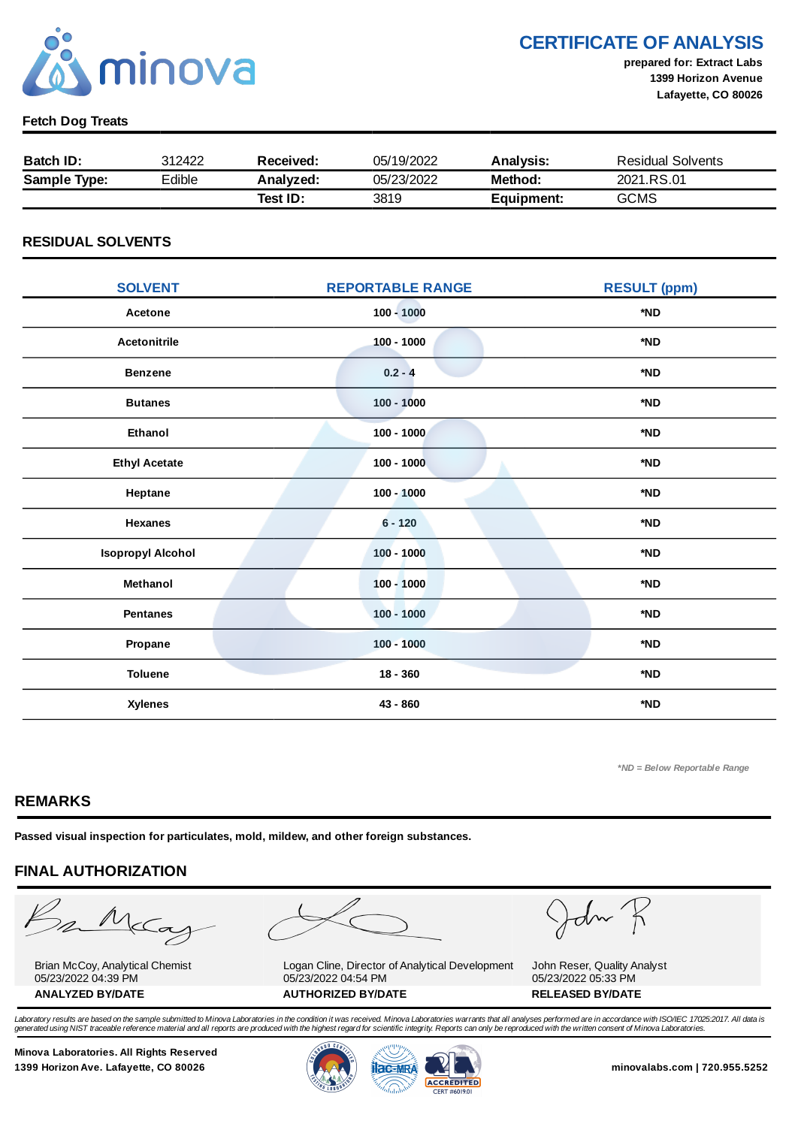

CERTIFICATE OF ANALYSIS

prepared for: Extract Labs 1399 Horizon Avenue Lafayette, CO 80026

#### Fetch Dog Treats

| <b>Batch ID:</b>    | 312422 | Received: | 05/19/2022 | Analysis:  | Residual Solvents |
|---------------------|--------|-----------|------------|------------|-------------------|
| <b>Sample Type:</b> | Edible | Analyzed: | 05/23/2022 | Method:    | 2021.RS.01        |
|                     |        | Test ID:  | 3819       | Equipment: | GCMS              |

#### RESIDUAL SOLVENTS

| <b>SOLVENT</b>           | <b>REPORTABLE RANGE</b> | <b>RESULT (ppm)</b> |
|--------------------------|-------------------------|---------------------|
| Acetone                  | $100 - 1000$            | *ND                 |
| <b>Acetonitrile</b>      | $100 - 1000$            | *ND                 |
| <b>Benzene</b>           | $0.2 - 4$               | *ND                 |
| <b>Butanes</b>           | $100 - 1000$            | *ND                 |
| Ethanol                  | $100 - 1000$            | *ND                 |
| <b>Ethyl Acetate</b>     | $100 - 1000$            | *ND                 |
| Heptane                  | $100 - 1000$            | *ND                 |
| <b>Hexanes</b>           | $6 - 120$               | *ND                 |
| <b>Isopropyl Alcohol</b> | $100 - 1000$            | *ND                 |
| Methanol                 | $100 - 1000$            | *ND                 |
| <b>Pentanes</b>          | $100 - 1000$            | *ND                 |
| Propane                  | $100 - 1000$            | *ND                 |
| <b>Toluene</b>           | $18 - 360$              | *ND                 |
| <b>Xylenes</b>           | 43 - 860                | *ND                 |

\*ND = Below Reportable Range

#### REMARKS

Passed visual inspection for particulates, mold, mildew, and other foreign substances.

# FINAL AUTHORIZATION

mMcCa

Brian McCoy, Analytical Chemist 05/23/2022 04:39 PM

Logan Cline, Director of Analytical Development 05/23/2022 04:54 PM ANALYZED BY/DATE AUTHORIZED BY/DATE AUTHORIZED BY/DATE

John

John Reser, Quality Analyst 05/23/2022 05:33 PM

Laboratory results are based on the sample submitted to Minova Laboratories in the condition it was received. Minova Laboratories warrants that all analyses performed are in accordance with ISO/IEC 17025:2017. All data is generated using NIST traceable reference material and all reports are produced with the highest regard for scientific integrity. Reports can only be reproduced with the written consent of Minova Laboratories.

Minova Laboratories. All Rights Reserved 1399 Horizon Ave. Lafayette, CO 80026 **1300 Minovalabs.com | 720.955.5252** minovalabs.com | 720.955.5252



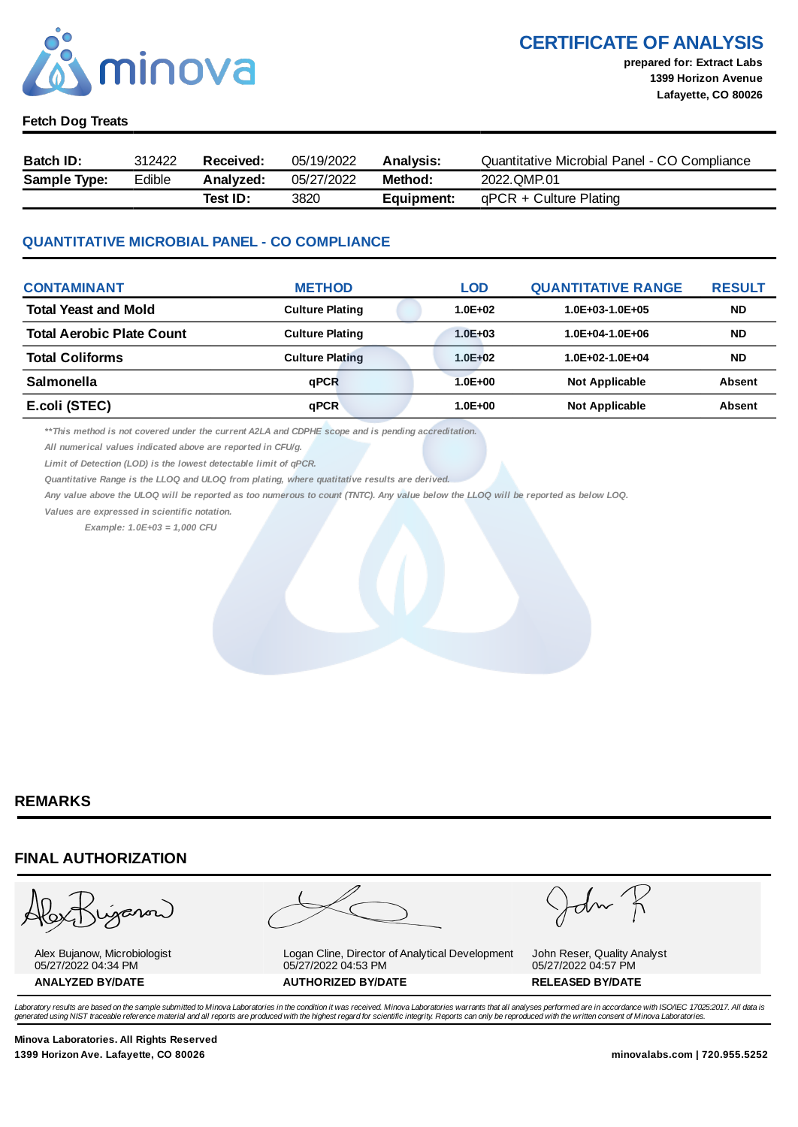

# CERTIFICATE OF ANALYSIS

#### Fetch Dog Treats

| Batch ID:           | 312422 | Received: | 05/19/2022 | <b>Analysis:</b> | Ouantitative Microbial Panel - CO Compliance |
|---------------------|--------|-----------|------------|------------------|----------------------------------------------|
| <b>Sample Type:</b> | Edible | Analyzed: | 05/27/2022 | Method:          | 2022.QMP.01                                  |
|                     |        | Test ID:  | 3820       | Equipment:       | $qPCR + Culture$ Plating                     |

#### QUANTITATIVE MICROBIAL PANEL - CO COMPLIANCE

| <b>CONTAMINANT</b>               | <b>METHOD</b>          | <b>LOD</b>  | <b>QUANTITATIVE RANGE</b> | <b>RESULT</b> |
|----------------------------------|------------------------|-------------|---------------------------|---------------|
| <b>Total Yeast and Mold</b>      | <b>Culture Plating</b> | $1.0E + 02$ | $1.0E + 03 - 1.0E + 05$   | <b>ND</b>     |
| <b>Total Aerobic Plate Count</b> | <b>Culture Plating</b> | $1.0E + 03$ | $1.0E + 04 - 1.0E + 06$   | <b>ND</b>     |
| <b>Total Coliforms</b>           | <b>Culture Plating</b> | $1.0E + 02$ | $1.0E + 02 - 1.0E + 04$   | <b>ND</b>     |
| <b>Salmonella</b>                | <b>aPCR</b>            | $1.0E + 00$ | <b>Not Applicable</b>     | <b>Absent</b> |
| E.coli (STEC)                    | qPCR                   | $1.0E + 00$ | <b>Not Applicable</b>     | <b>Absent</b> |

\*\*This method is not covered under the current A2LA and CDPHE scope and is pending accreditation.

All numerical values indicated above are reported in CFU/g.

Limit of Detection (LOD) is the lowest detectable limit of qPCR.

Quantitative Range is the LLOQ and ULOQ from plating, where quatitative results are derived.

Any value above the ULOQ will be reported as too numerous to count (TNTC). Any value below the LLOQ will be reported as below LOQ.

Values are expressed in scientific notation.

Example: 1.0E+03 = 1,000 CFU

#### REMARKS

#### FINAL AUTHORIZATION

ganon

Alex Bujanow, Microbiologist 05/27/2022 04:34 PM

Logan Cline, Director of Analytical Development 05/27/2022 04:53 PM ANALYZED BY/DATE AUTHORIZED BY/DATE AUTHORIZED BY/DATE

John Reser, Quality Analyst 05/27/2022 04:57 PM

Laboratory results are based on the sample submitted to Minova Laboratories in the condition it was received. Minova Laboratories warrants that all analyses performed are in accordance with ISO/IEC 17025:2017. All data is *generated using NIST traceable reference material and all reports are produced with the highest regard for scientific integrity. Reports can only be reproduced with the written consent of Minova Laboratories.* 

Minova Laboratories. All Rights Reserved 1399 Horizon Ave. Lafayette, CO 80026 minovalabs.com | 720.955.5252